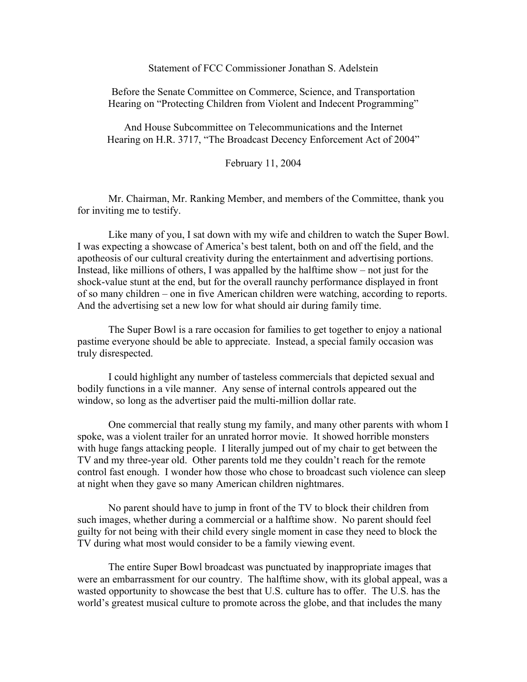## Statement of FCC Commissioner Jonathan S. Adelstein

Before the Senate Committee on Commerce, Science, and Transportation Hearing on "Protecting Children from Violent and Indecent Programming"

And House Subcommittee on Telecommunications and the Internet Hearing on H.R. 3717, "The Broadcast Decency Enforcement Act of 2004"

February 11, 2004

Mr. Chairman, Mr. Ranking Member, and members of the Committee, thank you for inviting me to testify.

Like many of you, I sat down with my wife and children to watch the Super Bowl. I was expecting a showcase of America's best talent, both on and off the field, and the apotheosis of our cultural creativity during the entertainment and advertising portions. Instead, like millions of others, I was appalled by the halftime show – not just for the shock-value stunt at the end, but for the overall raunchy performance displayed in front of so many children – one in five American children were watching, according to reports. And the advertising set a new low for what should air during family time.

The Super Bowl is a rare occasion for families to get together to enjoy a national pastime everyone should be able to appreciate. Instead, a special family occasion was truly disrespected.

I could highlight any number of tasteless commercials that depicted sexual and bodily functions in a vile manner. Any sense of internal controls appeared out the window, so long as the advertiser paid the multi-million dollar rate.

One commercial that really stung my family, and many other parents with whom I spoke, was a violent trailer for an unrated horror movie. It showed horrible monsters with huge fangs attacking people. I literally jumped out of my chair to get between the TV and my three-year old. Other parents told me they couldn't reach for the remote control fast enough. I wonder how those who chose to broadcast such violence can sleep at night when they gave so many American children nightmares.

No parent should have to jump in front of the TV to block their children from such images, whether during a commercial or a halftime show. No parent should feel guilty for not being with their child every single moment in case they need to block the TV during what most would consider to be a family viewing event.

The entire Super Bowl broadcast was punctuated by inappropriate images that were an embarrassment for our country. The halftime show, with its global appeal, was a wasted opportunity to showcase the best that U.S. culture has to offer. The U.S. has the world's greatest musical culture to promote across the globe, and that includes the many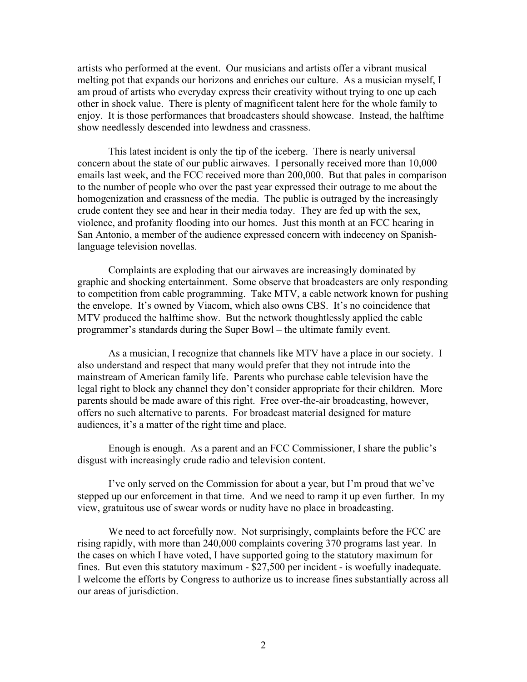artists who performed at the event. Our musicians and artists offer a vibrant musical melting pot that expands our horizons and enriches our culture. As a musician myself, I am proud of artists who everyday express their creativity without trying to one up each other in shock value. There is plenty of magnificent talent here for the whole family to enjoy. It is those performances that broadcasters should showcase. Instead, the halftime show needlessly descended into lewdness and crassness.

This latest incident is only the tip of the iceberg. There is nearly universal concern about the state of our public airwaves. I personally received more than 10,000 emails last week, and the FCC received more than 200,000. But that pales in comparison to the number of people who over the past year expressed their outrage to me about the homogenization and crassness of the media. The public is outraged by the increasingly crude content they see and hear in their media today. They are fed up with the sex, violence, and profanity flooding into our homes. Just this month at an FCC hearing in San Antonio, a member of the audience expressed concern with indecency on Spanishlanguage television novellas.

Complaints are exploding that our airwaves are increasingly dominated by graphic and shocking entertainment. Some observe that broadcasters are only responding to competition from cable programming. Take MTV, a cable network known for pushing the envelope. It's owned by Viacom, which also owns CBS. It's no coincidence that MTV produced the halftime show. But the network thoughtlessly applied the cable programmer's standards during the Super Bowl – the ultimate family event.

As a musician, I recognize that channels like MTV have a place in our society. I also understand and respect that many would prefer that they not intrude into the mainstream of American family life. Parents who purchase cable television have the legal right to block any channel they don't consider appropriate for their children. More parents should be made aware of this right. Free over-the-air broadcasting, however, offers no such alternative to parents. For broadcast material designed for mature audiences, it's a matter of the right time and place.

Enough is enough. As a parent and an FCC Commissioner, I share the public's disgust with increasingly crude radio and television content.

I've only served on the Commission for about a year, but I'm proud that we've stepped up our enforcement in that time. And we need to ramp it up even further. In my view, gratuitous use of swear words or nudity have no place in broadcasting.

We need to act forcefully now. Not surprisingly, complaints before the FCC are rising rapidly, with more than 240,000 complaints covering 370 programs last year. In the cases on which I have voted, I have supported going to the statutory maximum for fines. But even this statutory maximum - \$27,500 per incident - is woefully inadequate. I welcome the efforts by Congress to authorize us to increase fines substantially across all our areas of jurisdiction.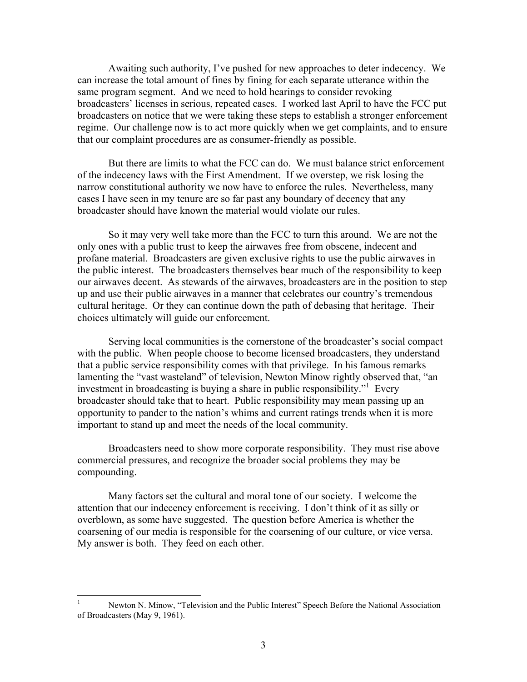Awaiting such authority, I've pushed for new approaches to deter indecency. We can increase the total amount of fines by fining for each separate utterance within the same program segment. And we need to hold hearings to consider revoking broadcasters' licenses in serious, repeated cases. I worked last April to have the FCC put broadcasters on notice that we were taking these steps to establish a stronger enforcement regime. Our challenge now is to act more quickly when we get complaints, and to ensure that our complaint procedures are as consumer-friendly as possible.

But there are limits to what the FCC can do. We must balance strict enforcement of the indecency laws with the First Amendment. If we overstep, we risk losing the narrow constitutional authority we now have to enforce the rules. Nevertheless, many cases I have seen in my tenure are so far past any boundary of decency that any broadcaster should have known the material would violate our rules.

So it may very well take more than the FCC to turn this around. We are not the only ones with a public trust to keep the airwaves free from obscene, indecent and profane material. Broadcasters are given exclusive rights to use the public airwaves in the public interest. The broadcasters themselves bear much of the responsibility to keep our airwaves decent. As stewards of the airwaves, broadcasters are in the position to step up and use their public airwaves in a manner that celebrates our country's tremendous cultural heritage. Or they can continue down the path of debasing that heritage. Their choices ultimately will guide our enforcement.

Serving local communities is the cornerstone of the broadcaster's social compact with the public. When people choose to become licensed broadcasters, they understand that a public service responsibility comes with that privilege. In his famous remarks lamenting the "vast wasteland" of television, Newton Minow rightly observed that, "an investment in broadcasting is buying a share in public responsibility."<sup>1</sup> Every broadcaster should take that to heart. Public responsibility may mean passing up an opportunity to pander to the nation's whims and current ratings trends when it is more important to stand up and meet the needs of the local community.

Broadcasters need to show more corporate responsibility. They must rise above commercial pressures, and recognize the broader social problems they may be compounding.

Many factors set the cultural and moral tone of our society. I welcome the attention that our indecency enforcement is receiving. I don't think of it as silly or overblown, as some have suggested. The question before America is whether the coarsening of our media is responsible for the coarsening of our culture, or vice versa. My answer is both. They feed on each other.

 $\frac{1}{1}$  Newton N. Minow, "Television and the Public Interest" Speech Before the National Association of Broadcasters (May 9, 1961).